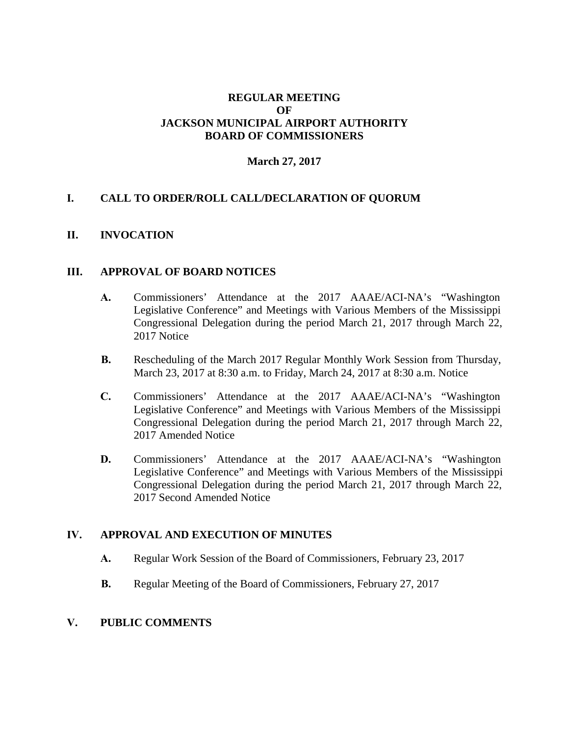### **REGULAR MEETING OF JACKSON MUNICIPAL AIRPORT AUTHORITY BOARD OF COMMISSIONERS**

### **March 27, 2017**

### **I. CALL TO ORDER/ROLL CALL/DECLARATION OF QUORUM**

#### **II. INVOCATION**

#### **III. APPROVAL OF BOARD NOTICES**

- **A.** Commissioners' Attendance at the 2017 AAAE/ACI-NA's "Washington Legislative Conference" and Meetings with Various Members of the Mississippi Congressional Delegation during the period March 21, 2017 through March 22, 2017 Notice
- **B.** Rescheduling of the March 2017 Regular Monthly Work Session from Thursday, March 23, 2017 at 8:30 a.m. to Friday, March 24, 2017 at 8:30 a.m. Notice
- **C.** Commissioners' Attendance at the 2017 AAAE/ACI-NA's "Washington Legislative Conference" and Meetings with Various Members of the Mississippi Congressional Delegation during the period March 21, 2017 through March 22, 2017 Amended Notice
- **D.** Commissioners' Attendance at the 2017 AAAE/ACI-NA's "Washington Legislative Conference" and Meetings with Various Members of the Mississippi Congressional Delegation during the period March 21, 2017 through March 22, 2017 Second Amended Notice

### **IV. APPROVAL AND EXECUTION OF MINUTES**

- **A.** Regular Work Session of the Board of Commissioners, February 23, 2017
- **B.** Regular Meeting of the Board of Commissioners, February 27, 2017

#### **V. PUBLIC COMMENTS**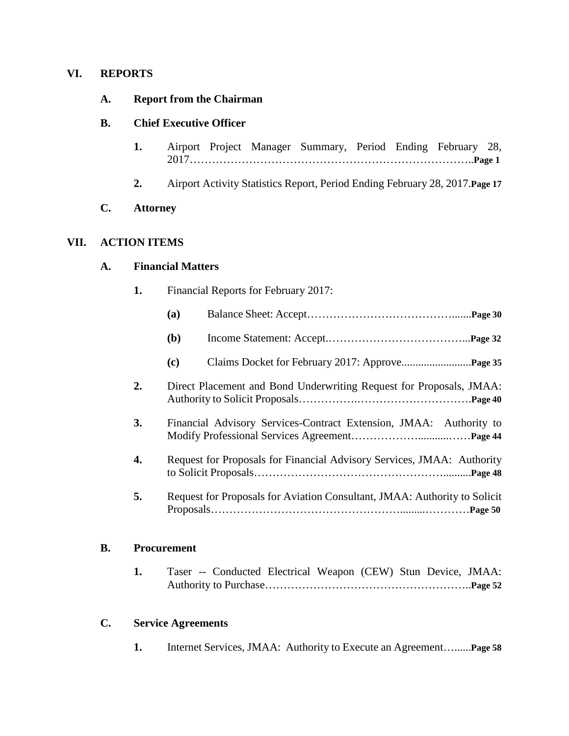### **VI. REPORTS**

### **A. Report from the Chairman**

## **B. Chief Executive Officer**

- **1.** Airport Project Manager Summary, Period Ending February 28, 2017…………………………………………………………………..**Page 1**
- **2.** Airport Activity Statistics Report, Period Ending February 28, 2017.**Page 17**

### **C. Attorney**

## **VII. ACTION ITEMS**

# **A. Financial Matters**

**1.** Financial Reports for February 2017:

|    | (a)                                                                 |                                                                           |
|----|---------------------------------------------------------------------|---------------------------------------------------------------------------|
|    | ( <b>b</b> )                                                        |                                                                           |
|    | (c)                                                                 |                                                                           |
| 2. | Direct Placement and Bond Underwriting Request for Proposals, JMAA: |                                                                           |
| 3. | Financial Advisory Services-Contract Extension, JMAA: Authority to  |                                                                           |
| 4. |                                                                     | Request for Proposals for Financial Advisory Services, JMAA: Authority    |
| 5. |                                                                     | Request for Proposals for Aviation Consultant, JMAA: Authority to Solicit |

### **B. Procurement**

**1.** Taser -- Conducted Electrical Weapon (CEW) Stun Device, JMAA: Authority to Purchase………………………………………………..**Page 52**

### **C. Service Agreements**

**1.** Internet Services, JMAA: Authority to Execute an Agreement…......**Page 58**